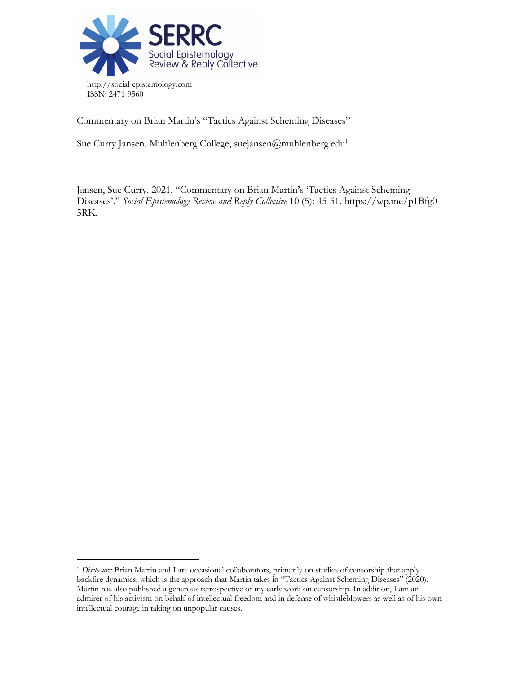

––––––––––––––––––

Commentary on Brian Martin's "Tactics Against Scheming Diseases"

Sue Curry Jansen, Muhlenberg College, suejansen@muhlenberg.edu<sup>1</sup>

Jansen, Sue Curry. 2021. "Commentary on Brian Martin's 'Tactics Against Scheming Diseases'." *Social Epistemology Review and Reply Collective* 10 (5): 45-51. https://wp.me/p1Bfg0- 5RK.

<sup>1</sup> *Disclosure*: Brian Martin and I are occasional collaborators, primarily on studies of censorship that apply backfire dynamics, which is the approach that Martin takes in "Tactics Against Scheming Diseases" (2020). Martin has also published a generous retrospective of my early work on censorship. In addition, I am an admirer of his activism on behalf of intellectual freedom and in defense of whistleblowers as well as of his own intellectual courage in taking on unpopular causes.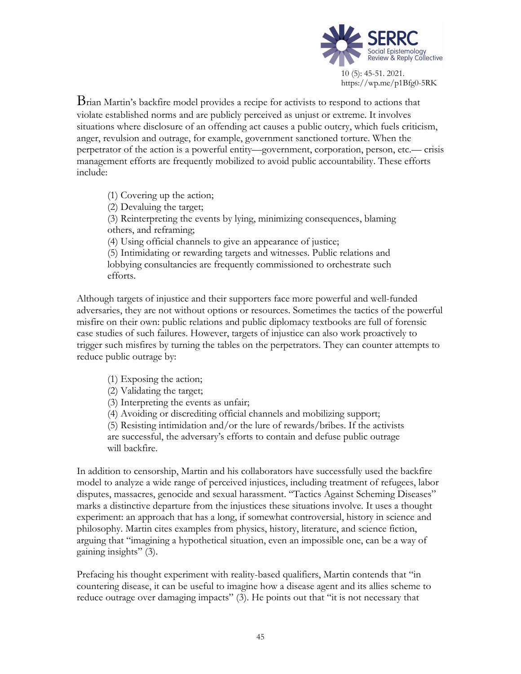

https://wp.me/p1Bfg0-5RK

Brian Martin's backfire model provides <sup>a</sup> recipe for activists to respond to actions that violate established norms and are publicly perceived as unjust or extreme. It involves situations where disclosure of an offending act causes a public outcry, which fuels criticism, anger, revulsion and outrage, for example, government sanctioned torture. When the perpetrator of the action is a powerful entity—government, corporation, person, etc.— crisis management efforts are frequently mobilized to avoid public accountability. These efforts include:

(1) Covering up the action; (2) Devaluing the target; (3) Reinterpreting the events by lying, minimizing consequences, blaming others, and reframing; (4) Using official channels to give an appearance of justice; (5) Intimidating or rewarding targets and witnesses. Public relations and lobbying consultancies are frequently commissioned to orchestrate such efforts.

Although targets of injustice and their supporters face more powerful and well-funded adversaries, they are not without options or resources. Sometimes the tactics of the powerful misfire on their own: public relations and public diplomacy textbooks are full of forensic case studies of such failures. However, targets of injustice can also work proactively to trigger such misfires by turning the tables on the perpetrators. They can counter attempts to reduce public outrage by:

- (1) Exposing the action;
- (2) Validating the target;
- (3) Interpreting the events as unfair;
- (4) Avoiding or discrediting official channels and mobilizing support;

(5) Resisting intimidation and/or the lure of rewards/bribes. If the activists are successful, the adversary's efforts to contain and defuse public outrage will backfire.

In addition to censorship, Martin and his collaborators have successfully used the backfire model to analyze a wide range of perceived injustices, including treatment of refugees, labor disputes, massacres, genocide and sexual harassment. "Tactics Against Scheming Diseases" marks a distinctive departure from the injustices these situations involve. It uses a thought experiment: an approach that has a long, if somewhat controversial, history in science and philosophy. Martin cites examples from physics, history, literature, and science fiction, arguing that "imagining a hypothetical situation, even an impossible one, can be a way of gaining insights" (3).

Prefacing his thought experiment with reality-based qualifiers, Martin contends that "in countering disease, it can be useful to imagine how a disease agent and its allies scheme to reduce outrage over damaging impacts" (3). He points out that "it is not necessary that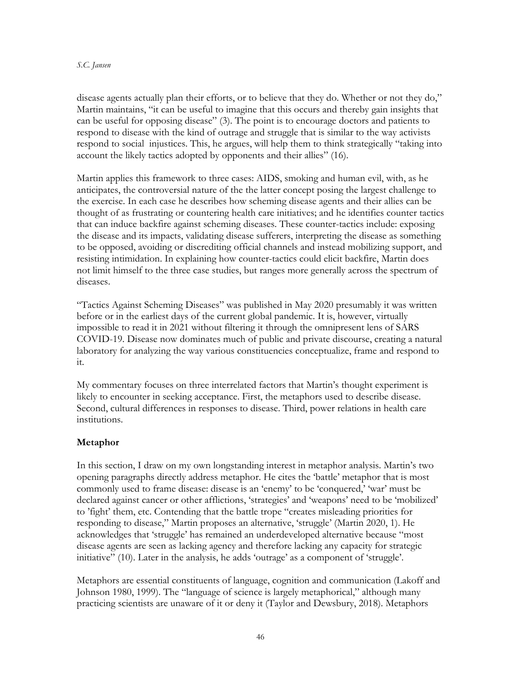#### *S.C. Jansen*

disease agents actually plan their efforts, or to believe that they do. Whether or not they do," Martin maintains, "it can be useful to imagine that this occurs and thereby gain insights that can be useful for opposing disease" (3). The point is to encourage doctors and patients to respond to disease with the kind of outrage and struggle that is similar to the way activists respond to social injustices. This, he argues, will help them to think strategically "taking into account the likely tactics adopted by opponents and their allies" (16).

Martin applies this framework to three cases: AIDS, smoking and human evil, with, as he anticipates, the controversial nature of the the latter concept posing the largest challenge to the exercise. In each case he describes how scheming disease agents and their allies can be thought of as frustrating or countering health care initiatives; and he identifies counter tactics that can induce backfire against scheming diseases. These counter-tactics include: exposing the disease and its impacts, validating disease sufferers, interpreting the disease as something to be opposed, avoiding or discrediting official channels and instead mobilizing support, and resisting intimidation. In explaining how counter-tactics could elicit backfire, Martin does not limit himself to the three case studies, but ranges more generally across the spectrum of diseases.

"Tactics Against Scheming Diseases" was published in May 2020 presumably it was written before or in the earliest days of the current global pandemic. It is, however, virtually impossible to read it in 2021 without filtering it through the omnipresent lens of SARS COVID-19. Disease now dominates much of public and private discourse, creating a natural laboratory for analyzing the way various constituencies conceptualize, frame and respond to it.

My commentary focuses on three interrelated factors that Martin's thought experiment is likely to encounter in seeking acceptance. First, the metaphors used to describe disease. Second, cultural differences in responses to disease. Third, power relations in health care institutions.

# **Metaphor**

In this section, I draw on my own longstanding interest in metaphor analysis. Martin's two opening paragraphs directly address metaphor. He cites the 'battle' metaphor that is most commonly used to frame disease: disease is an 'enemy' to be 'conquered,' 'war' must be declared against cancer or other afflictions, 'strategies' and 'weapons' need to be 'mobilized' to 'fight' them, etc. Contending that the battle trope "creates misleading priorities for responding to disease," Martin proposes an alternative, 'struggle' (Martin 2020, 1). He acknowledges that 'struggle' has remained an underdeveloped alternative because "most disease agents are seen as lacking agency and therefore lacking any capacity for strategic initiative" (10). Later in the analysis, he adds 'outrage' as a component of 'struggle'.

Metaphors are essential constituents of language, cognition and communication (Lakoff and Johnson 1980, 1999). The "language of science is largely metaphorical," although many practicing scientists are unaware of it or deny it (Taylor and Dewsbury, 2018). Metaphors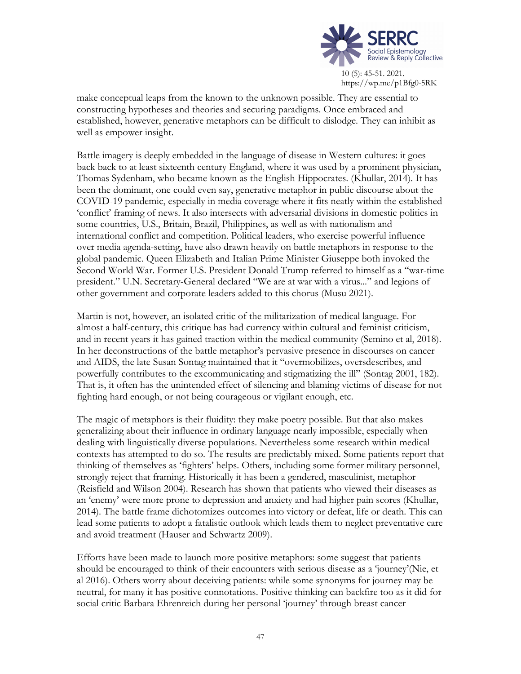

https://wp.me/p1Bfg0-5RK

make conceptual leaps from the known to the unknown possible. They are essential to constructing hypotheses and theories and securing paradigms. Once embraced and established, however, generative metaphors can be difficult to dislodge. They can inhibit as well as empower insight.

Battle imagery is deeply embedded in the language of disease in Western cultures: it goes back back to at least sixteenth century England, where it was used by a prominent physician, Thomas Sydenham, who became known as the English Hippocrates. (Khullar, 2014). It has been the dominant, one could even say, generative metaphor in public discourse about the COVID-19 pandemic, especially in media coverage where it fits neatly within the established 'conflict' framing of news. It also intersects with adversarial divisions in domestic politics in some countries, U.S., Britain, Brazil, Philippines, as well as with nationalism and international conflict and competition. Political leaders, who exercise powerful influence over media agenda-setting, have also drawn heavily on battle metaphors in response to the global pandemic. Queen Elizabeth and Italian Prime Minister Giuseppe both invoked the Second World War. Former U.S. President Donald Trump referred to himself as a "war-time president." U.N. Secretary-General declared "We are at war with a virus..." and legions of other government and corporate leaders added to this chorus (Musu 2021).

Martin is not, however, an isolated critic of the militarization of medical language. For almost a half-century, this critique has had currency within cultural and feminist criticism, and in recent years it has gained traction within the medical community (Semino et al, 2018). In her deconstructions of the battle metaphor's pervasive presence in discourses on cancer and AIDS, the late Susan Sontag maintained that it "overmobilizes, oversdescribes, and powerfully contributes to the excommunicating and stigmatizing the ill" (Sontag 2001, 182). That is, it often has the unintended effect of silencing and blaming victims of disease for not fighting hard enough, or not being courageous or vigilant enough, etc.

The magic of metaphors is their fluidity: they make poetry possible. But that also makes generalizing about their influence in ordinary language nearly impossible, especially when dealing with linguistically diverse populations. Nevertheless some research within medical contexts has attempted to do so. The results are predictably mixed. Some patients report that thinking of themselves as 'fighters' helps. Others, including some former military personnel, strongly reject that framing. Historically it has been a gendered, masculinist, metaphor (Reisfield and Wilson 2004). Research has shown that patients who viewed their diseases as an 'enemy' were more prone to depression and anxiety and had higher pain scores (Khullar, 2014). The battle frame dichotomizes outcomes into victory or defeat, life or death. This can lead some patients to adopt a fatalistic outlook which leads them to neglect preventative care and avoid treatment (Hauser and Schwartz 2009).

Efforts have been made to launch more positive metaphors: some suggest that patients should be encouraged to think of their encounters with serious disease as a 'journey'(Nie, et al 2016). Others worry about deceiving patients: while some synonyms for journey may be neutral, for many it has positive connotations. Positive thinking can backfire too as it did for social critic Barbara Ehrenreich during her personal 'journey' through breast cancer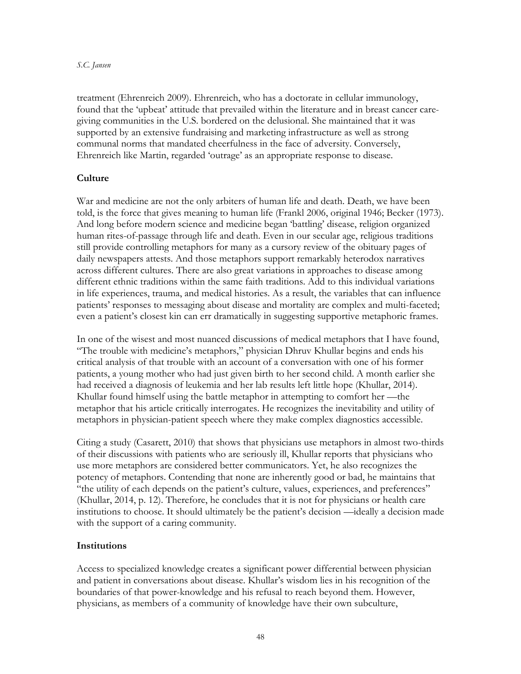treatment (Ehrenreich 2009). Ehrenreich, who has a doctorate in cellular immunology, found that the 'upbeat' attitude that prevailed within the literature and in breast cancer caregiving communities in the U.S. bordered on the delusional. She maintained that it was supported by an extensive fundraising and marketing infrastructure as well as strong communal norms that mandated cheerfulness in the face of adversity. Conversely, Ehrenreich like Martin, regarded 'outrage' as an appropriate response to disease.

# **Culture**

War and medicine are not the only arbiters of human life and death. Death, we have been told, is the force that gives meaning to human life (Frankl 2006, original 1946; Becker (1973). And long before modern science and medicine began 'battling' disease, religion organized human rites-of-passage through life and death. Even in our secular age, religious traditions still provide controlling metaphors for many as a cursory review of the obituary pages of daily newspapers attests. And those metaphors support remarkably heterodox narratives across different cultures. There are also great variations in approaches to disease among different ethnic traditions within the same faith traditions. Add to this individual variations in life experiences, trauma, and medical histories. As a result, the variables that can influence patients' responses to messaging about disease and mortality are complex and multi-faceted; even a patient's closest kin can err dramatically in suggesting supportive metaphoric frames.

In one of the wisest and most nuanced discussions of medical metaphors that I have found, "The trouble with medicine's metaphors," physician Dhruv Khullar begins and ends his critical analysis of that trouble with an account of a conversation with one of his former patients, a young mother who had just given birth to her second child. A month earlier she had received a diagnosis of leukemia and her lab results left little hope (Khullar, 2014). Khullar found himself using the battle metaphor in attempting to comfort her —the metaphor that his article critically interrogates. He recognizes the inevitability and utility of metaphors in physician-patient speech where they make complex diagnostics accessible.

Citing a study (Casarett, 2010) that shows that physicians use metaphors in almost two-thirds of their discussions with patients who are seriously ill, Khullar reports that physicians who use more metaphors are considered better communicators. Yet, he also recognizes the potency of metaphors. Contending that none are inherently good or bad, he maintains that "the utility of each depends on the patient's culture, values, experiences, and preferences" (Khullar, 2014, p. 12). Therefore, he concludes that it is not for physicians or health care institutions to choose. It should ultimately be the patient's decision —ideally a decision made with the support of a caring community.

# **Institutions**

Access to specialized knowledge creates a significant power differential between physician and patient in conversations about disease. Khullar's wisdom lies in his recognition of the boundaries of that power-knowledge and his refusal to reach beyond them. However, physicians, as members of a community of knowledge have their own subculture,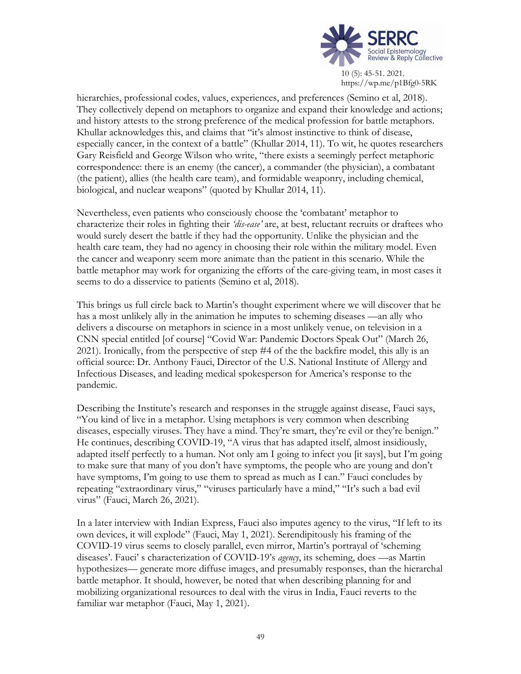

https://wp.me/p1Bfg0-5RK

hierarchies, professional codes, values, experiences, and preferences (Semino et al, 2018). They collectively depend on metaphors to organize and expand their knowledge and actions; and history attests to the strong preference of the medical profession for battle metaphors. Khullar acknowledges this, and claims that "it's almost instinctive to think of disease, especially cancer, in the context of a battle" (Khullar 2014, 11). To wit, he quotes researchers Gary Reisfield and George Wilson who write, "there exists a seemingly perfect metaphoric correspondence: there is an enemy (the cancer), a commander (the physician), a combatant (the patient), allies (the health care team), and formidable weaponry, including chemical, biological, and nuclear weapons" (quoted by Khullar 2014, 11).

Nevertheless, even patients who consciously choose the 'combatant' metaphor to characterize their roles in fighting their *'dis-ease'* are, at best, reluctant recruits or draftees who would surely desert the battle if they had the opportunity. Unlike the physician and the health care team, they had no agency in choosing their role within the military model. Even the cancer and weaponry seem more animate than the patient in this scenario. While the battle metaphor may work for organizing the efforts of the care-giving team, in most cases it seems to do a disservice to patients (Semino et al, 2018).

This brings us full circle back to Martin's thought experiment where we will discover that he has a most unlikely ally in the animation he imputes to scheming diseases —an ally who delivers a discourse on metaphors in science in a most unlikely venue, on television in a CNN special entitled [of course] "Covid War: Pandemic Doctors Speak Out" (March 26, 2021). Ironically, from the perspective of step #4 of the the backfire model, this ally is an official source: Dr. Anthony Fauci, Director of the U.S. National Institute of Allergy and Infectious Diseases, and leading medical spokesperson for America's response to the pandemic.

Describing the Institute's research and responses in the struggle against disease, Fauci says, "You kind of live in a metaphor. Using metaphors is very common when describing diseases, especially viruses. They have a mind. They're smart, they're evil or they're benign." He continues, describing COVID-19, "A virus that has adapted itself, almost insidiously, adapted itself perfectly to a human. Not only am I going to infect you [it says], but I'm going to make sure that many of you don't have symptoms, the people who are young and don't have symptoms, I'm going to use them to spread as much as I can." Fauci concludes by repeating "extraordinary virus," "viruses particularly have a mind," "It's such a bad evil virus" (Fauci, March 26, 2021).

In a later interview with Indian Express, Fauci also imputes agency to the virus, "If left to its own devices, it will explode" (Fauci, May 1, 2021). Serendipitously his framing of the COVID-19 virus seems to closely parallel, even mirror, Martin's portrayal of 'scheming diseases'. Fauci' s characterization of COVID-19's *agency*, its scheming, does —as Martin hypothesizes— generate more diffuse images, and presumably responses, than the hierarchal battle metaphor. It should, however, be noted that when describing planning for and mobilizing organizational resources to deal with the virus in India, Fauci reverts to the familiar war metaphor (Fauci, May 1, 2021).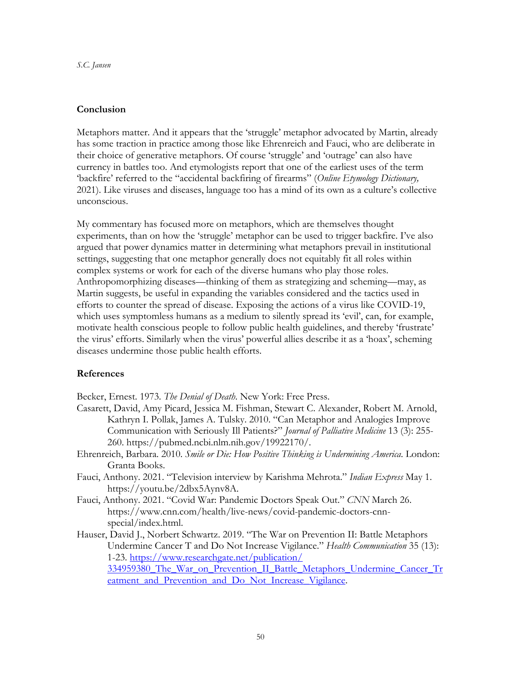#### **Conclusion**

Metaphors matter. And it appears that the 'struggle' metaphor advocated by Martin, already has some traction in practice among those like Ehrenreich and Fauci, who are deliberate in their choice of generative metaphors. Of course 'struggle' and 'outrage' can also have currency in battles too. And etymologists report that one of the earliest uses of the term 'backfire' referred to the "accidental backfiring of firearms" (*Online Etymology Dictionary,* 2021). Like viruses and diseases, language too has a mind of its own as a culture's collective unconscious.

My commentary has focused more on metaphors, which are themselves thought experiments, than on how the 'struggle' metaphor can be used to trigger backfire. I've also argued that power dynamics matter in determining what metaphors prevail in institutional settings, suggesting that one metaphor generally does not equitably fit all roles within complex systems or work for each of the diverse humans who play those roles. Anthropomorphizing diseases—thinking of them as strategizing and scheming—may, as Martin suggests, be useful in expanding the variables considered and the tactics used in efforts to counter the spread of disease. Exposing the actions of a virus like COVID-19, which uses symptomless humans as a medium to silently spread its 'evil', can, for example, motivate health conscious people to follow public health guidelines, and thereby 'frustrate' the virus' efforts. Similarly when the virus' powerful allies describe it as a 'hoax', scheming diseases undermine those public health efforts.

#### **References**

Becker, Ernest. 1973. *The Denial of Death*. New York: Free Press.

- Casarett, David, Amy Picard, Jessica M. Fishman, Stewart C. Alexander, Robert M. Arnold, Kathryn I. Pollak, James A. Tulsky. 2010. "Can Metaphor and Analogies Improve Communication with Seriously Ill Patients?" *Journal of Palliative Medicine* 13 (3): 255- 260. https://pubmed.ncbi.nlm.nih.gov/19922170/.
- Ehrenreich, Barbara. 2010. *Smile or Die: How Positive Thinking is Undermining America*. London: Granta Books.
- Fauci, Anthony. 2021. "Television interview by Karishma Mehrota." *Indian Express* May 1. https://youtu.be/2dbx5Aynv8A.
- Fauci, Anthony. 2021. "Covid War: Pandemic Doctors Speak Out." *CNN* March 26. https://www.cnn.com/health/live-news/covid-pandemic-doctors-cnnspecial/index.html.
- Hauser, David J., Norbert Schwartz. 2019. "The War on Prevention II: Battle Metaphors Undermine Cancer T and Do Not Increase Vigilance." *Health Communication* 35 (13): 1-23. https://www.researchgate.net/publication/ 334959380\_The\_War\_on\_Prevention\_II\_Battle\_Metaphors\_Undermine\_Cancer\_Tr eatment\_and\_Prevention\_and\_Do\_Not\_Increase\_Vigilance.